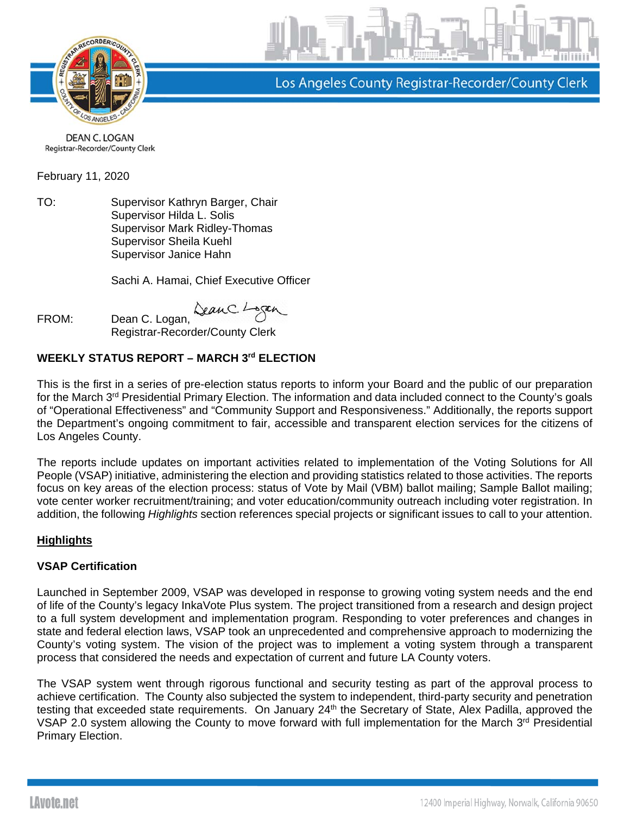

Los Angeles County Registrar-Recorder/County Clerk

DEAN C. LOGAN Registrar-Recorder/County Clerk

February 11, 2020

TO: Supervisor Kathryn Barger, Chair Supervisor Hilda L. Solis Supervisor Mark Ridley-Thomas Supervisor Sheila Kuehl Supervisor Janice Hahn

Sachi A. Hamai, Chief Executive Officer

FROM: Dean C. Logan,  $\Delta$ exuC. L

Registrar-Recorder/County Clerk

## **WEEKLY STATUS REPORT – MARCH 3rd ELECTION**

This is the first in a series of pre-election status reports to inform your Board and the public of our preparation for the March 3rd Presidential Primary Election. The information and data included connect to the County's goals of "Operational Effectiveness" and "Community Support and Responsiveness." Additionally, the reports support the Department's ongoing commitment to fair, accessible and transparent election services for the citizens of Los Angeles County.

The reports include updates on important activities related to implementation of the Voting Solutions for All People (VSAP) initiative, administering the election and providing statistics related to those activities. The reports focus on key areas of the election process: status of Vote by Mail (VBM) ballot mailing; Sample Ballot mailing; vote center worker recruitment/training; and voter education/community outreach including voter registration. In addition, the following *Highlights* section references special projects or significant issues to call to your attention.

### **Highlights**

### **VSAP Certification**

Launched in September 2009, VSAP was developed in response to growing voting system needs and the end of life of the County's legacy InkaVote Plus system. The project transitioned from a research and design project to a full system development and implementation program. Responding to voter preferences and changes in state and federal election laws, VSAP took an unprecedented and comprehensive approach to modernizing the County's voting system. The vision of the project was to implement a voting system through a transparent process that considered the needs and expectation of current and future LA County voters.

The VSAP system went through rigorous functional and security testing as part of the approval process to achieve certification. The County also subjected the system to independent, third-party security and penetration testing that exceeded state requirements. On January 24<sup>th</sup> the Secretary of State, Alex Padilla, approved the VSAP 2.0 system allowing the County to move forward with full implementation for the March 3<sup>rd</sup> Presidential Primary Election.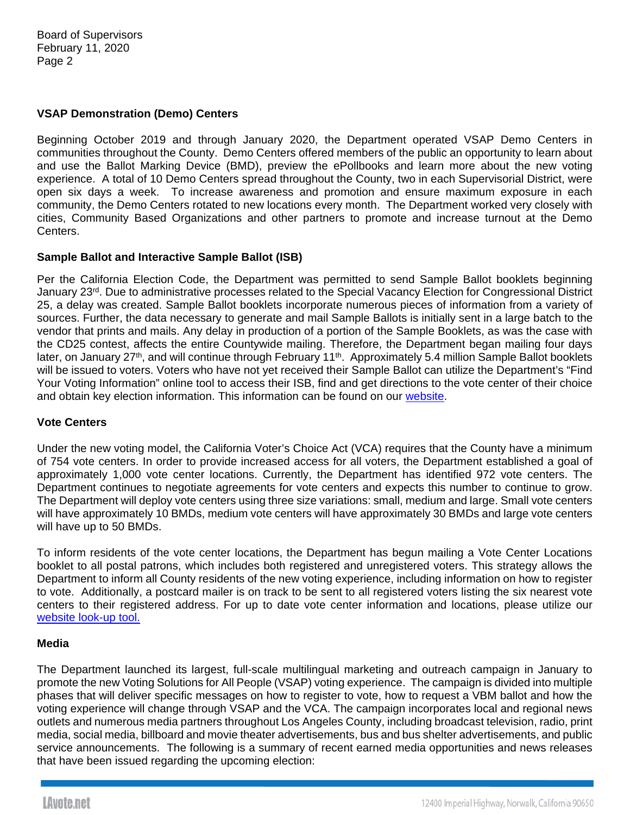### **VSAP Demonstration (Demo) Centers**

Beginning October 2019 and through January 2020, the Department operated VSAP Demo Centers in communities throughout the County. Demo Centers offered members of the public an opportunity to learn about and use the Ballot Marking Device (BMD), preview the ePollbooks and learn more about the new voting experience. A total of 10 Demo Centers spread throughout the County, two in each Supervisorial District, were open six days a week. To increase awareness and promotion and ensure maximum exposure in each community, the Demo Centers rotated to new locations every month. The Department worked very closely with cities, Community Based Organizations and other partners to promote and increase turnout at the Demo Centers.

#### **Sample Ballot and Interactive Sample Ballot (ISB)**

Per the California Election Code, the Department was permitted to send Sample Ballot booklets beginning January 23<sup>rd</sup>. Due to administrative processes related to the Special Vacancy Election for Congressional District 25, a delay was created. Sample Ballot booklets incorporate numerous pieces of information from a variety of sources. Further, the data necessary to generate and mail Sample Ballots is initially sent in a large batch to the vendor that prints and mails. Any delay in production of a portion of the Sample Booklets, as was the case with the CD25 contest, affects the entire Countywide mailing. Therefore, the Department began mailing four days later, on January 27<sup>th</sup>, and will continue through February 11<sup>th</sup>. Approximately 5.4 million Sample Ballot booklets will be issued to voters. Voters who have not yet received their Sample Ballot can utilize the Department's "Find Your Voting Information" online tool to access their ISB, find and get directions to the vote center of their choice and obtain key election information. This information can be found on our website.

#### **Vote Centers**

Under the new voting model, the California Voter's Choice Act (VCA) requires that the County have a minimum of 754 vote centers. In order to provide increased access for all voters, the Department established a goal of approximately 1,000 vote center locations. Currently, the Department has identified 972 vote centers. The Department continues to negotiate agreements for vote centers and expects this number to continue to grow. The Department will deploy vote centers using three size variations: small, medium and large. Small vote centers will have approximately 10 BMDs, medium vote centers will have approximately 30 BMDs and large vote centers will have up to 50 BMDs.

To inform residents of the vote center locations, the Department has begun mailing a Vote Center Locations booklet to all postal patrons, which includes both registered and unregistered voters. This strategy allows the Department to inform all County residents of the new voting experience, including information on how to register to vote. Additionally, a postcard mailer is on track to be sent to all registered voters listing the six nearest vote centers to their registered address. For up to date vote center information and locations, please utilize our website look-up tool.

#### **Media**

The Department launched its largest, full-scale multilingual marketing and outreach campaign in January to promote the new Voting Solutions for All People (VSAP) voting experience. The campaign is divided into multiple phases that will deliver specific messages on how to register to vote, how to request a VBM ballot and how the voting experience will change through VSAP and the VCA. The campaign incorporates local and regional news outlets and numerous media partners throughout Los Angeles County, including broadcast television, radio, print media, social media, billboard and movie theater advertisements, bus and bus shelter advertisements, and public service announcements. The following is a summary of recent earned media opportunities and news releases that have been issued regarding the upcoming election: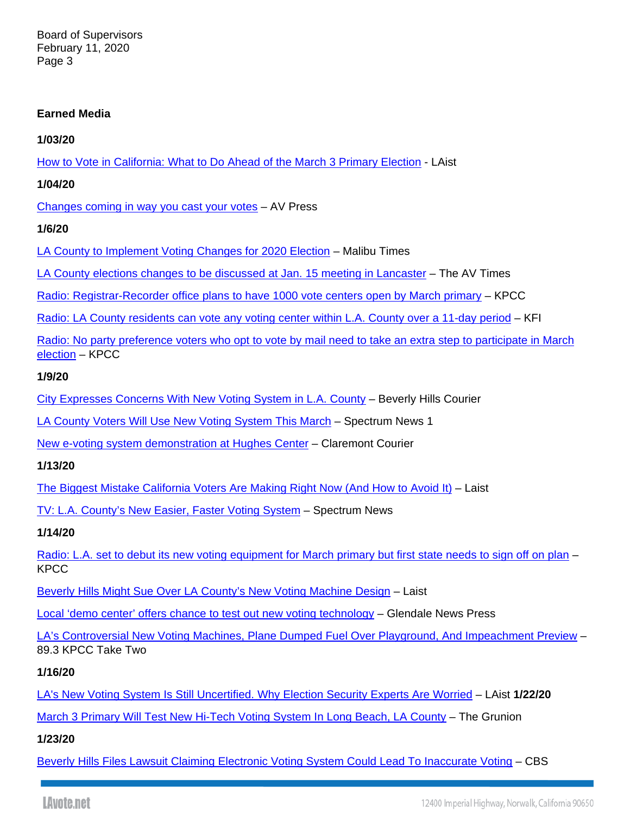### **Earned Media**

**1/03/20** 

How to Vote in California: What to Do Ahead of the March 3 Primary Election - LAist

**1/04/20** 

Changes coming in way you cast your votes – AV Press

**1/6/20** 

LA County to Implement Voting Changes for 2020 Election – Malibu Times

LA County elections changes to be discussed at Jan. 15 meeting in Lancaster – The AV Times

Radio: Registrar-Recorder office plans to have 1000 vote centers open by March primary – KPCC

Radio: LA County residents can vote any voting center within L.A. County over a 11-day period - KFI

Radio: No party preference voters who opt to vote by mail need to take an extra step to participate in March election – KPCC

**1/9/20** 

City Expresses Concerns With New Voting System in L.A. County – Beverly Hills Courier

LA County Voters Will Use New Voting System This March – Spectrum News 1

New e-voting system demonstration at Hughes Center – Claremont Courier

**1/13/20** 

The Biggest Mistake California Voters Are Making Right Now (And How to Avoid It) – Laist

TV: L.A. County's New Easier, Faster Voting System – Spectrum News

**1/14/20** 

Radio: L.A. set to debut its new voting equipment for March primary but first state needs to sign off on plan – **KPCC** 

Beverly Hills Might Sue Over LA County's New Voting Machine Design – Laist

Local 'demo center' offers chance to test out new voting technology – Glendale News Press

LA's Controversial New Voting Machines, Plane Dumped Fuel Over Playground, And Impeachment Preview – 89.3 KPCC Take Two

**1/16/20** 

LA's New Voting System Is Still Uncertified. Why Election Security Experts Are Worried – LAist **1/22/20**

March 3 Primary Will Test New Hi-Tech Voting System In Long Beach, LA County – The Grunion

**1/23/20** 

Beverly Hills Files Lawsuit Claiming Electronic Voting System Could Lead To Inaccurate Voting – CBS

LAvote.net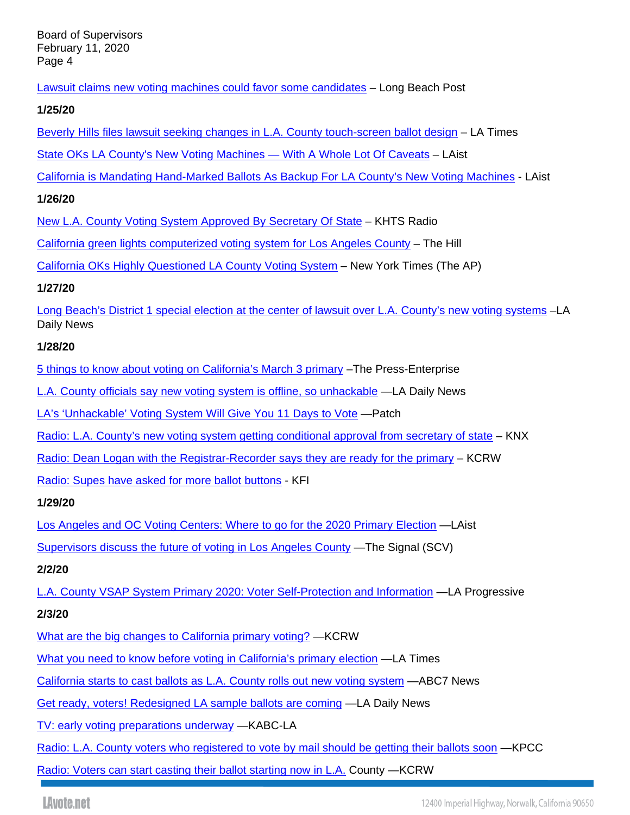Lawsuit claims new voting machines could favor some candidates – Long Beach Post

### **1/25/20**

Beverly Hills files lawsuit seeking changes in L.A. County touch-screen ballot design – LA Times

State OKs LA County's New Voting Machines — With A Whole Lot Of Caveats – LAist

California is Mandating Hand-Marked Ballots As Backup For LA County's New Voting Machines - LAist

### **1/26/20**

New L.A. County Voting System Approved By Secretary Of State – KHTS Radio

California green lights computerized voting system for Los Angeles County – The Hill

California OKs Highly Questioned LA County Voting System – New York Times (The AP)

## **1/27/20**

Long Beach's District 1 special election at the center of lawsuit over L.A. County's new voting systems –LA Daily News

## **1/28/20**

5 things to know about voting on California's March 3 primary –The Press-Enterprise

L.A. County officials say new voting system is offline, so unhackable —LA Daily News

LA's 'Unhackable' Voting System Will Give You 11 Days to Vote —Patch

Radio: L.A. County's new voting system getting conditional approval from secretary of state – KNX

Radio: Dean Logan with the Registrar-Recorder says they are ready for the primary - KCRW

Radio: Supes have asked for more ballot buttons - KFI

# **1/29/20**

Los Angeles and OC Voting Centers: Where to go for the 2020 Primary Election —LAist

Supervisors discuss the future of voting in Los Angeles County —The Signal (SCV)

# **2/2/20**

L.A. County VSAP System Primary 2020: Voter Self-Protection and Information —LA Progressive

# **2/3/20**

What are the big changes to California primary voting? —KCRW

What you need to know before voting in California's primary election —LA Times

California starts to cast ballots as L.A. County rolls out new voting system —ABC7 News

Get ready, voters! Redesigned LA sample ballots are coming —LA Daily News

TV: early voting preparations underway —KABC-LA

Radio: L.A. County voters who registered to vote by mail should be getting their ballots soon —KPCC

Radio: Voters can start casting their ballot starting now in L.A. County —KCRW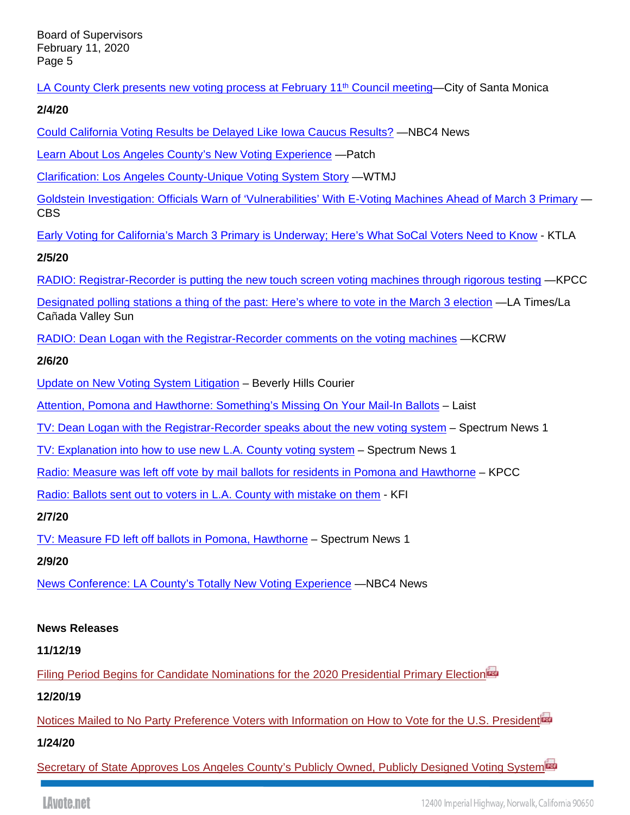LA County Clerk presents new voting process at February 11<sup>th</sup> Council meeting—City of Santa Monica

**2/4/20** 

Could California Voting Results be Delayed Like Iowa Caucus Results? —NBC4 News

Learn About Los Angeles County's New Voting Experience —Patch

Clarification: Los Angeles County-Unique Voting System Story —WTMJ

Goldstein Investigation: Officials Warn of 'Vulnerabilities' With E-Voting Machines Ahead of March 3 Primary — CBS

Early Voting for California's March 3 Primary is Underway; Here's What SoCal Voters Need to Know - KTLA

**2/5/20** 

RADIO: Registrar-Recorder is putting the new touch screen voting machines through rigorous testing —KPCC

Designated polling stations a thing of the past: Here's where to vote in the March 3 election —LA Times/La Cañada Valley Sun

RADIO: Dean Logan with the Registrar-Recorder comments on the voting machines —KCRW

## **2/6/20**

Update on New Voting System Litigation - Beverly Hills Courier

Attention, Pomona and Hawthorne: Something's Missing On Your Mail-In Ballots – Laist

TV: Dean Logan with the Registrar-Recorder speaks about the new voting system – Spectrum News 1

TV: Explanation into how to use new L.A. County voting system – Spectrum News 1

Radio: Measure was left off vote by mail ballots for residents in Pomona and Hawthorne – KPCC

Radio: Ballots sent out to voters in L.A. County with mistake on them - KFI

**2/7/20** 

TV: Measure FD left off ballots in Pomona, Hawthorne – Spectrum News 1

**2/9/20** 

News Conference: LA County's Totally New Voting Experience —NBC4 News

## **News Releases**

**11/12/19** 

Filing Period Begins for Candidate Nominations for the 2020 Presidential Primary Election

**12/20/19** 

Notices Mailed to No Party Preference Voters with Information on How to Vote for the U.S. President<sup>ing</sup>

**1/24/20** 

Secretary of State Approves Los Angeles County's Publicly Owned, Publicly Designed Voting System<sup>ing</sup>

LAvote.net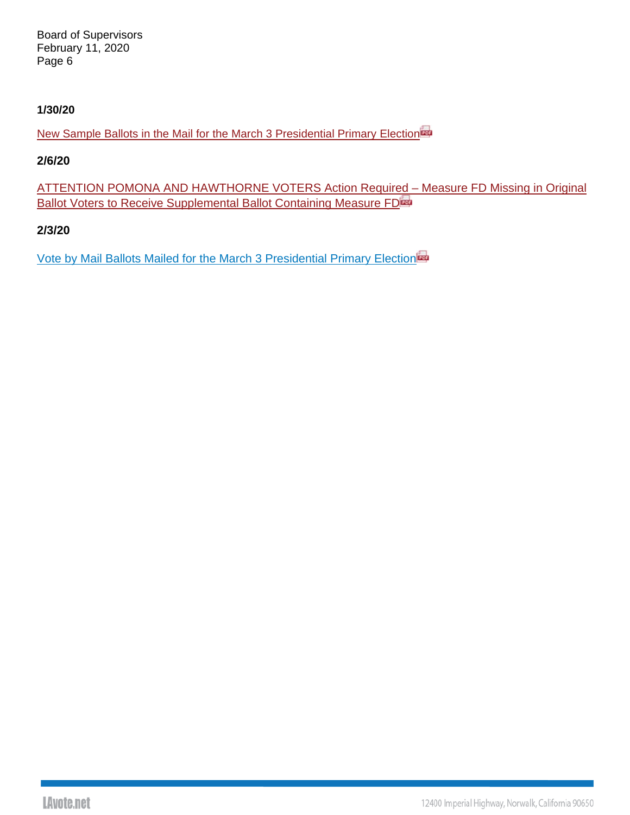### **1/30/20**

New Sample Ballots in the Mail for the March 3 Presidential Primary Election

### **2/6/20**

ATTENTION POMONA AND HAWTHORNE VOTERS Action Required – Measure FD Missing in Original Ballot Voters to Receive Supplemental Ballot Containing Measure FD

### **2/3/20**

Vote by Mail Ballots Mailed for the March 3 Presidential Primary Election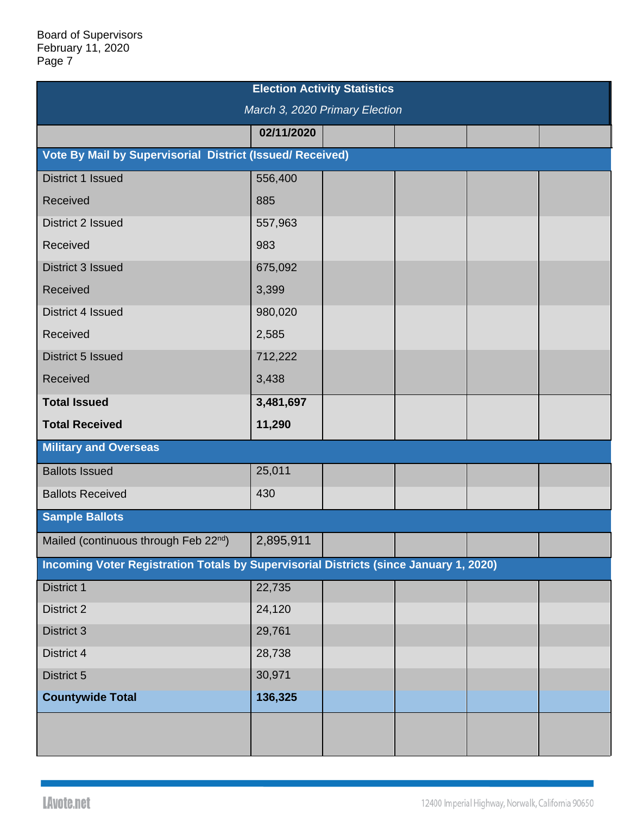| <b>Election Activity Statistics</b>                                                   |            |  |  |  |  |  |  |  |
|---------------------------------------------------------------------------------------|------------|--|--|--|--|--|--|--|
| March 3, 2020 Primary Election                                                        |            |  |  |  |  |  |  |  |
|                                                                                       | 02/11/2020 |  |  |  |  |  |  |  |
| Vote By Mail by Supervisorial District (Issued/ Received)                             |            |  |  |  |  |  |  |  |
| District 1 Issued                                                                     | 556,400    |  |  |  |  |  |  |  |
| Received                                                                              | 885        |  |  |  |  |  |  |  |
| District 2 Issued                                                                     | 557,963    |  |  |  |  |  |  |  |
| Received                                                                              | 983        |  |  |  |  |  |  |  |
| District 3 Issued                                                                     | 675,092    |  |  |  |  |  |  |  |
| Received                                                                              | 3,399      |  |  |  |  |  |  |  |
| District 4 Issued                                                                     | 980,020    |  |  |  |  |  |  |  |
| Received                                                                              | 2,585      |  |  |  |  |  |  |  |
| District 5 Issued                                                                     | 712,222    |  |  |  |  |  |  |  |
| Received                                                                              | 3,438      |  |  |  |  |  |  |  |
| <b>Total Issued</b>                                                                   | 3,481,697  |  |  |  |  |  |  |  |
| <b>Total Received</b>                                                                 | 11,290     |  |  |  |  |  |  |  |
| <b>Military and Overseas</b>                                                          |            |  |  |  |  |  |  |  |
| <b>Ballots Issued</b>                                                                 | 25,011     |  |  |  |  |  |  |  |
| <b>Ballots Received</b>                                                               | 430        |  |  |  |  |  |  |  |
| <b>Sample Ballots</b>                                                                 |            |  |  |  |  |  |  |  |
| Mailed (continuous through Feb 22nd)                                                  | 2,895,911  |  |  |  |  |  |  |  |
| Incoming Voter Registration Totals by Supervisorial Districts (since January 1, 2020) |            |  |  |  |  |  |  |  |
| <b>District 1</b>                                                                     | 22,735     |  |  |  |  |  |  |  |
| <b>District 2</b>                                                                     | 24,120     |  |  |  |  |  |  |  |
| <b>District 3</b>                                                                     | 29,761     |  |  |  |  |  |  |  |
| District 4                                                                            | 28,738     |  |  |  |  |  |  |  |
| District 5                                                                            | 30,971     |  |  |  |  |  |  |  |
| <b>Countywide Total</b>                                                               | 136,325    |  |  |  |  |  |  |  |
|                                                                                       |            |  |  |  |  |  |  |  |
|                                                                                       |            |  |  |  |  |  |  |  |